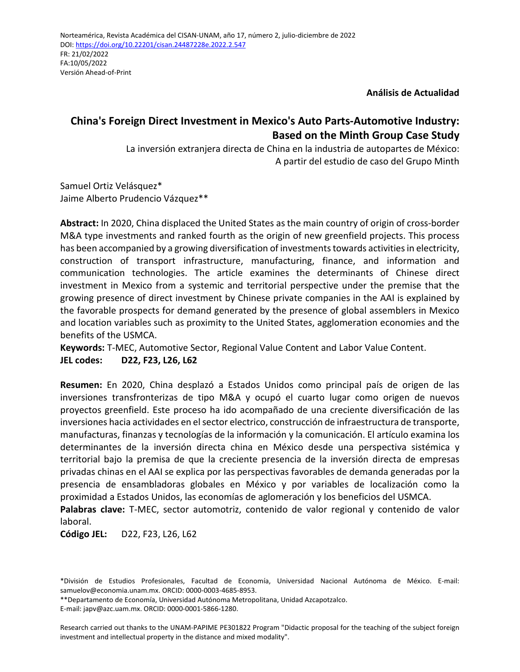**Análisis de Actualidad**

# **China's Foreign Direct Investment in Mexico's Auto Parts-Automotive Industry: Based on the Minth Group Case Study**

La inversión extranjera directa de China en la industria de autopartes de México: A partir del estudio de caso del Grupo Minth

Samuel Ortiz Velásquez\* Jaime Alberto Prudencio Vázquez\*\*

**Abstract:** In 2020, China displaced the United States as the main country of origin of cross-border M&A type investments and ranked fourth as the origin of new greenfield projects. This process has been accompanied by a growing diversification of investments towards activities in electricity, construction of transport infrastructure, manufacturing, finance, and information and communication technologies. The article examines the determinants of Chinese direct investment in Mexico from a systemic and territorial perspective under the premise that the growing presence of direct investment by Chinese private companies in the AAI is explained by the favorable prospects for demand generated by the presence of global assemblers in Mexico and location variables such as proximity to the United States, agglomeration economies and the benefits of the USMCA.

**Keywords:** T-MEC, Automotive Sector, Regional Value Content and Labor Value Content. **JEL codes: D22, F23, L26, L62**

**Resumen:** En 2020, China desplazó a Estados Unidos como principal país de origen de las inversiones transfronterizas de tipo M&A y ocupó el cuarto lugar como origen de nuevos proyectos greenfield. Este proceso ha ido acompañado de una creciente diversificación de las inversiones hacia actividades en el sector electrico, construcción de infraestructura de transporte, manufacturas, finanzas y tecnologías de la información y la comunicación. El artículo examina los determinantes de la inversión directa china en México desde una perspectiva sistémica y territorial bajo la premisa de que la creciente presencia de la inversión directa de empresas privadas chinas en el AAI se explica por las perspectivas favorables de demanda generadas por la presencia de ensambladoras globales en México y por variables de localización como la proximidad a Estados Unidos, las economías de aglomeración y los beneficios del USMCA.

**Palabras clave:** T-MEC, sector automotriz, contenido de valor regional y contenido de valor laboral.

**Código JEL:** D22, F23, L26, L62

\*\*Departamento de Economía, Universidad Autónoma Metropolitana, Unidad Azcapotzalco. E-mail: japv@azc.uam.mx. ORCID: 0000-0001-5866-1280.

Research carried out thanks to the UNAM-PAPIME PE301822 Program "Didactic proposal for the teaching of the subject foreign investment and intellectual property in the distance and mixed modality".

<sup>\*</sup>División de Estudios Profesionales, Facultad de Economía, Universidad Nacional Autónoma de México. E-mail: samuelov@economia.unam.mx. ORCID: 0000-0003-4685-8953.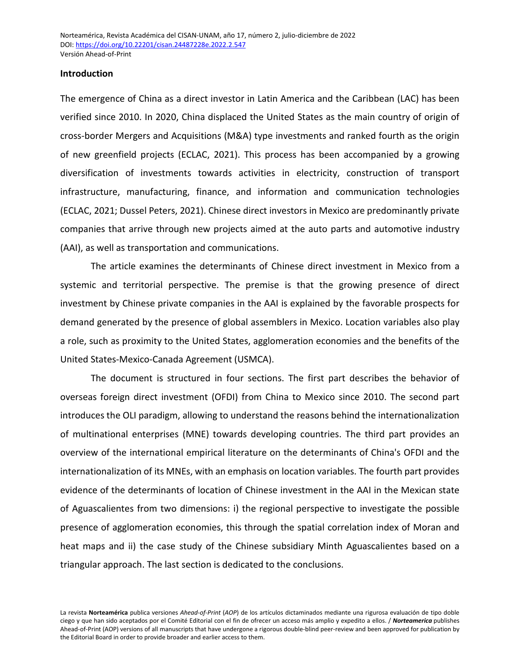#### **Introduction**

The emergence of China as a direct investor in Latin America and the Caribbean (LAC) has been verified since 2010. In 2020, China displaced the United States as the main country of origin of cross-border Mergers and Acquisitions (M&A) type investments and ranked fourth as the origin of new greenfield projects (ECLAC, 2021). This process has been accompanied by a growing diversification of investments towards activities in electricity, construction of transport infrastructure, manufacturing, finance, and information and communication technologies (ECLAC, 2021; Dussel Peters, 2021). Chinese direct investors in Mexico are predominantly private companies that arrive through new projects aimed at the auto parts and automotive industry (AAI), as well as transportation and communications.

The article examines the determinants of Chinese direct investment in Mexico from a systemic and territorial perspective. The premise is that the growing presence of direct investment by Chinese private companies in the AAI is explained by the favorable prospects for demand generated by the presence of global assemblers in Mexico. Location variables also play a role, such as proximity to the United States, agglomeration economies and the benefits of the United States-Mexico-Canada Agreement (USMCA).

The document is structured in four sections. The first part describes the behavior of overseas foreign direct investment (OFDI) from China to Mexico since 2010. The second part introduces the OLI paradigm, allowing to understand the reasons behind the internationalization of multinational enterprises (MNE) towards developing countries. The third part provides an overview of the international empirical literature on the determinants of China's OFDI and the internationalization of its MNEs, with an emphasis on location variables. The fourth part provides evidence of the determinants of location of Chinese investment in the AAI in the Mexican state of Aguascalientes from two dimensions: i) the regional perspective to investigate the possible presence of agglomeration economies, this through the spatial correlation index of Moran and heat maps and ii) the case study of the Chinese subsidiary Minth Aguascalientes based on a triangular approach. The last section is dedicated to the conclusions.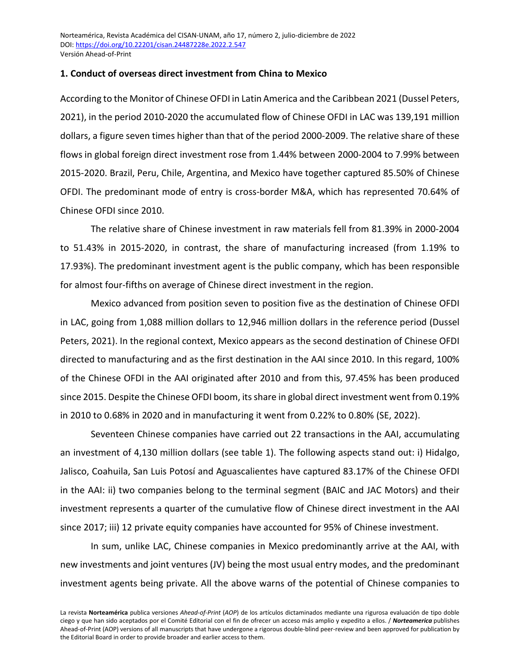## **1. Conduct of overseas direct investment from China to Mexico**

According to the Monitor of Chinese OFDI in Latin America and the Caribbean 2021 (Dussel Peters, 2021), in the period 2010-2020 the accumulated flow of Chinese OFDI in LAC was 139,191 million dollars, a figure seven times higher than that of the period 2000-2009. The relative share of these flows in global foreign direct investment rose from 1.44% between 2000-2004 to 7.99% between 2015-2020. Brazil, Peru, Chile, Argentina, and Mexico have together captured 85.50% of Chinese OFDI. The predominant mode of entry is cross-border M&A, which has represented 70.64% of Chinese OFDI since 2010.

The relative share of Chinese investment in raw materials fell from 81.39% in 2000-2004 to 51.43% in 2015-2020, in contrast, the share of manufacturing increased (from 1.19% to 17.93%). The predominant investment agent is the public company, which has been responsible for almost four-fifths on average of Chinese direct investment in the region.

Mexico advanced from position seven to position five as the destination of Chinese OFDI in LAC, going from 1,088 million dollars to 12,946 million dollars in the reference period (Dussel Peters, 2021). In the regional context, Mexico appears as the second destination of Chinese OFDI directed to manufacturing and as the first destination in the AAI since 2010. In this regard, 100% of the Chinese OFDI in the AAI originated after 2010 and from this, 97.45% has been produced since 2015. Despite the Chinese OFDI boom, its share in global direct investment went from 0.19% in 2010 to 0.68% in 2020 and in manufacturing it went from 0.22% to 0.80% (SE, 2022).

Seventeen Chinese companies have carried out 22 transactions in the AAI, accumulating an investment of 4,130 million dollars (see table 1). The following aspects stand out: i) Hidalgo, Jalisco, Coahuila, San Luis Potosí and Aguascalientes have captured 83.17% of the Chinese OFDI in the AAI: ii) two companies belong to the terminal segment (BAIC and JAC Motors) and their investment represents a quarter of the cumulative flow of Chinese direct investment in the AAI since 2017; iii) 12 private equity companies have accounted for 95% of Chinese investment.

In sum, unlike LAC, Chinese companies in Mexico predominantly arrive at the AAI, with new investments and joint ventures (JV) being the most usual entry modes, and the predominant investment agents being private. All the above warns of the potential of Chinese companies to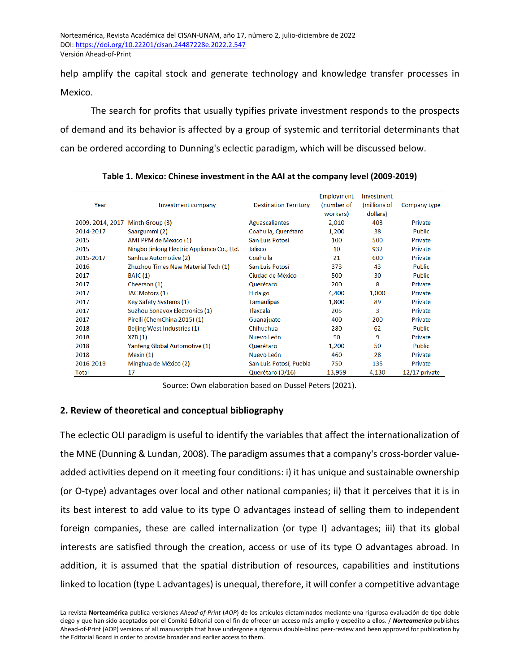help amplify the capital stock and generate technology and knowledge transfer processes in Mexico.

The search for profits that usually typifies private investment responds to the prospects of demand and its behavior is affected by a group of systemic and territorial determinants that can be ordered according to Dunning's eclectic paradigm, which will be discussed below.

|                  |                                             |                              | <b>Employment</b> | Investment   |                 |
|------------------|---------------------------------------------|------------------------------|-------------------|--------------|-----------------|
| Year             | Investment company                          | <b>Destination Territory</b> | (number of        | (millions of | Company type    |
|                  |                                             |                              | workers)          | dollars)     |                 |
| 2009, 2014, 2017 | Minth Group (3)                             | <b>Aguascalientes</b>        | 2,010             | 403          | Private         |
| 2014-2017        | Saargummi (2)                               | Coahuila, Querétaro          | 1,200             | 38           | <b>Public</b>   |
| 2015             | AMI PPM de Mexico (1)                       | San Luis Potosí              | 100               | 500          | Private         |
| 2015             | Ningbo Jinlong Electric Appliance Co., Ltd. | Jalisco                      | 10                | 932          | Private         |
| 2015-2017        | Sanhua Automotive (2)                       | Coahuila                     | 21                | 600          | Private         |
| 2016             | Zhuzhou Times New Material Tech (1)         | San Luis Potosí              | 373               | 43           | <b>Public</b>   |
| 2017             | <b>BAIC</b> (1)                             | Ciudad de México             | 500               | 30           | <b>Public</b>   |
| 2017             | Cheerson (1)                                | Querétaro                    | 200               | 8            | Private         |
| 2017             | JAC Motors (1)                              | Hidalgo                      | 4,400             | 1,000        | Private         |
| 2017             | Key Safety Systems (1)                      | <b>Tamaulipas</b>            | 1,800             | 89           | Private         |
| 2017             | Suzhou Sonavox Electronics (1)              | <b>Tlaxcala</b>              | 205               | 3            | Private         |
| 2017             | Pirelli (ChemChina 2015) (1)                | Guanajuato                   | 400               | 200          | Private         |
| 2018             | Beijing West Industries (1)                 | Chihuahua                    | 280               | 62           | <b>Public</b>   |
| 2018             | XZB(1)                                      | Nuevo León                   | 50                | 9            | Private         |
| 2018             | Yanfeng Global Automotive (1)               | Querétaro                    | 1,200             | 50           | <b>Public</b>   |
| 2018             | Mexin $(1)$                                 | Nuevo León                   | 460               | 28           | Private         |
| 2016-2019        | Minghua de México (2)                       | San Luis Potosí, Puebla      | 750               | 135          | Private         |
| <b>Total</b>     | 17                                          | Querétaro (3/16)             | 13,959            | 4,130        | $12/17$ private |

**Table 1. Mexico: Chinese investment in the AAI at the company level (2009-2019)**

Source: Own elaboration based on Dussel Peters (2021).

# **2. Review of theoretical and conceptual bibliography**

The eclectic OLI paradigm is useful to identify the variables that affect the internationalization of the MNE (Dunning & Lundan, 2008). The paradigm assumes that a company's cross-border valueadded activities depend on it meeting four conditions: i) it has unique and sustainable ownership (or O-type) advantages over local and other national companies; ii) that it perceives that it is in its best interest to add value to its type O advantages instead of selling them to independent foreign companies, these are called internalization (or type I) advantages; iii) that its global interests are satisfied through the creation, access or use of its type O advantages abroad. In addition, it is assumed that the spatial distribution of resources, capabilities and institutions linked to location (type L advantages) is unequal, therefore, it will confer a competitive advantage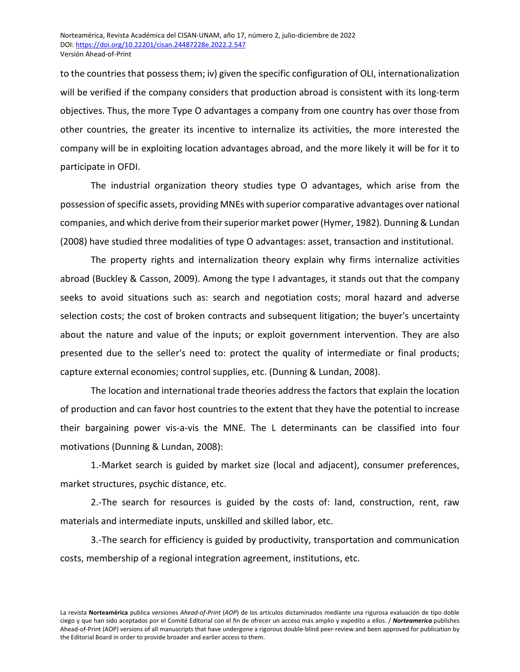to the countries that possess them; iv) given the specific configuration of OLI, internationalization will be verified if the company considers that production abroad is consistent with its long-term objectives. Thus, the more Type O advantages a company from one country has over those from other countries, the greater its incentive to internalize its activities, the more interested the company will be in exploiting location advantages abroad, and the more likely it will be for it to participate in OFDI.

The industrial organization theory studies type O advantages, which arise from the possession of specific assets, providing MNEs with superior comparative advantages over national companies, and which derive from their superior market power (Hymer, 1982). Dunning & Lundan (2008) have studied three modalities of type O advantages: asset, transaction and institutional.

The property rights and internalization theory explain why firms internalize activities abroad (Buckley & Casson, 2009). Among the type I advantages, it stands out that the company seeks to avoid situations such as: search and negotiation costs; moral hazard and adverse selection costs; the cost of broken contracts and subsequent litigation; the buyer's uncertainty about the nature and value of the inputs; or exploit government intervention. They are also presented due to the seller's need to: protect the quality of intermediate or final products; capture external economies; control supplies, etc. (Dunning & Lundan, 2008).

The location and international trade theories address the factors that explain the location of production and can favor host countries to the extent that they have the potential to increase their bargaining power vis-a-vis the MNE. The L determinants can be classified into four motivations (Dunning & Lundan, 2008):

1.-Market search is guided by market size (local and adjacent), consumer preferences, market structures, psychic distance, etc.

2.-The search for resources is guided by the costs of: land, construction, rent, raw materials and intermediate inputs, unskilled and skilled labor, etc.

3.-The search for efficiency is guided by productivity, transportation and communication costs, membership of a regional integration agreement, institutions, etc.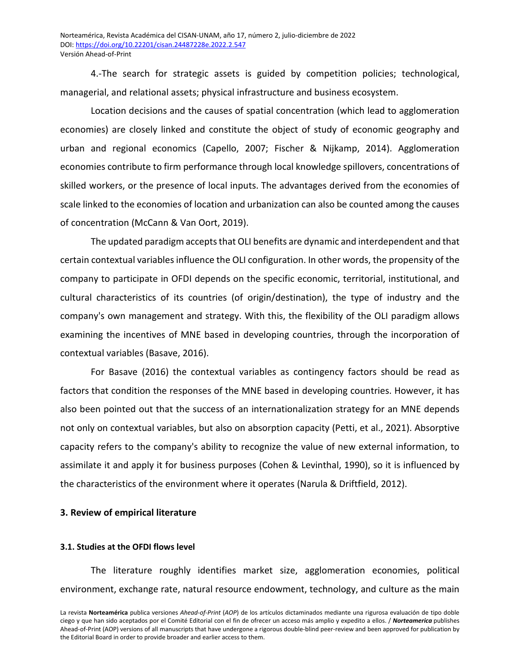4.-The search for strategic assets is guided by competition policies; technological, managerial, and relational assets; physical infrastructure and business ecosystem.

Location decisions and the causes of spatial concentration (which lead to agglomeration economies) are closely linked and constitute the object of study of economic geography and urban and regional economics (Capello, 2007; Fischer & Nijkamp, 2014). Agglomeration economies contribute to firm performance through local knowledge spillovers, concentrations of skilled workers, or the presence of local inputs. The advantages derived from the economies of scale linked to the economies of location and urbanization can also be counted among the causes of concentration (McCann & Van Oort, 2019).

The updated paradigm accepts that OLI benefits are dynamic and interdependent and that certain contextual variables influence the OLI configuration. In other words, the propensity of the company to participate in OFDI depends on the specific economic, territorial, institutional, and cultural characteristics of its countries (of origin/destination), the type of industry and the company's own management and strategy. With this, the flexibility of the OLI paradigm allows examining the incentives of MNE based in developing countries, through the incorporation of contextual variables (Basave, 2016).

For Basave (2016) the contextual variables as contingency factors should be read as factors that condition the responses of the MNE based in developing countries. However, it has also been pointed out that the success of an internationalization strategy for an MNE depends not only on contextual variables, but also on absorption capacity (Petti, et al., 2021). Absorptive capacity refers to the company's ability to recognize the value of new external information, to assimilate it and apply it for business purposes (Cohen & Levinthal, 1990), so it is influenced by the characteristics of the environment where it operates (Narula & Driftfield, 2012).

## **3. Review of empirical literature**

#### **3.1. Studies at the OFDI flows level**

The literature roughly identifies market size, agglomeration economies, political environment, exchange rate, natural resource endowment, technology, and culture as the main

La revista **Norteamérica** publica versiones *Ahead-of-Print* (*AOP*) de los artículos dictaminados mediante una rigurosa evaluación de tipo doble ciego y que han sido aceptados por el Comité Editorial con el fin de ofrecer un acceso más amplio y expedito a ellos. / *Norteamerica* publishes Ahead-of-Print (AOP) versions of all manuscripts that have undergone a rigorous double-blind peer-review and been approved for publication by the Editorial Board in order to provide broader and earlier access to them.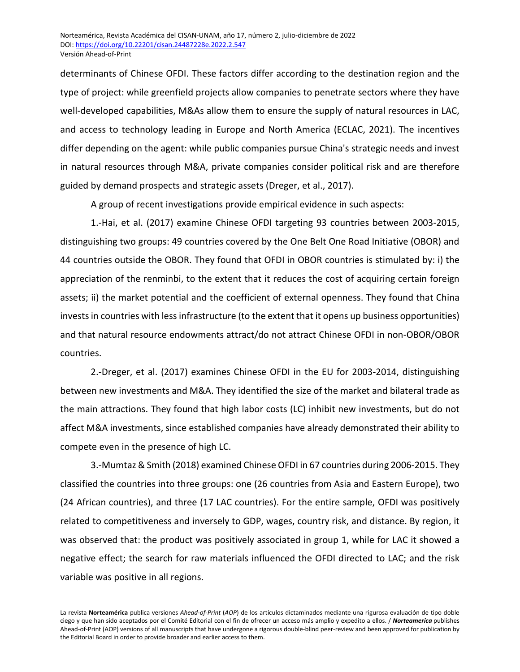determinants of Chinese OFDI. These factors differ according to the destination region and the type of project: while greenfield projects allow companies to penetrate sectors where they have well-developed capabilities, M&As allow them to ensure the supply of natural resources in LAC, and access to technology leading in Europe and North America (ECLAC, 2021). The incentives differ depending on the agent: while public companies pursue China's strategic needs and invest in natural resources through M&A, private companies consider political risk and are therefore guided by demand prospects and strategic assets (Dreger, et al., 2017).

A group of recent investigations provide empirical evidence in such aspects:

1.-Hai, et al. (2017) examine Chinese OFDI targeting 93 countries between 2003-2015, distinguishing two groups: 49 countries covered by the One Belt One Road Initiative (OBOR) and 44 countries outside the OBOR. They found that OFDI in OBOR countries is stimulated by: i) the appreciation of the renminbi, to the extent that it reduces the cost of acquiring certain foreign assets; ii) the market potential and the coefficient of external openness. They found that China invests in countries with less infrastructure (to the extent that it opens up business opportunities) and that natural resource endowments attract/do not attract Chinese OFDI in non-OBOR/OBOR countries.

2.-Dreger, et al. (2017) examines Chinese OFDI in the EU for 2003-2014, distinguishing between new investments and M&A. They identified the size of the market and bilateral trade as the main attractions. They found that high labor costs (LC) inhibit new investments, but do not affect M&A investments, since established companies have already demonstrated their ability to compete even in the presence of high LC.

3.-Mumtaz & Smith (2018) examined Chinese OFDI in 67 countries during 2006-2015. They classified the countries into three groups: one (26 countries from Asia and Eastern Europe), two (24 African countries), and three (17 LAC countries). For the entire sample, OFDI was positively related to competitiveness and inversely to GDP, wages, country risk, and distance. By region, it was observed that: the product was positively associated in group 1, while for LAC it showed a negative effect; the search for raw materials influenced the OFDI directed to LAC; and the risk variable was positive in all regions.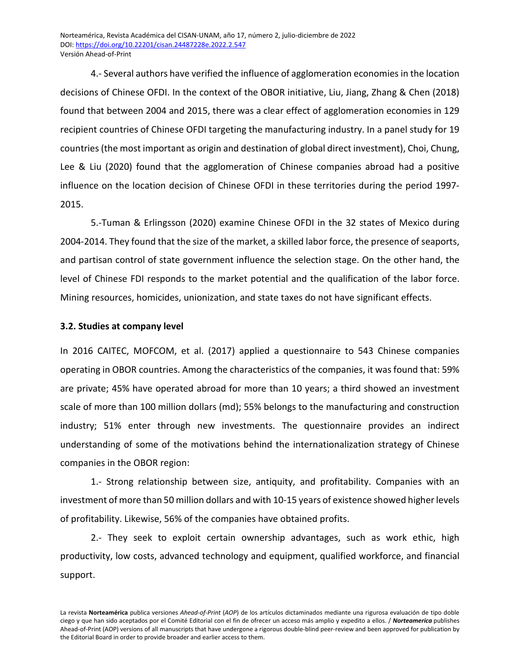4.- Several authors have verified the influence of agglomeration economies in the location decisions of Chinese OFDI. In the context of the OBOR initiative, Liu, Jiang, Zhang & Chen (2018) found that between 2004 and 2015, there was a clear effect of agglomeration economies in 129 recipient countries of Chinese OFDI targeting the manufacturing industry. In a panel study for 19 countries (the most important as origin and destination of global direct investment), Choi, Chung, Lee & Liu (2020) found that the agglomeration of Chinese companies abroad had a positive influence on the location decision of Chinese OFDI in these territories during the period 1997- 2015.

5.-Tuman & Erlingsson (2020) examine Chinese OFDI in the 32 states of Mexico during 2004-2014. They found that the size of the market, a skilled labor force, the presence of seaports, and partisan control of state government influence the selection stage. On the other hand, the level of Chinese FDI responds to the market potential and the qualification of the labor force. Mining resources, homicides, unionization, and state taxes do not have significant effects.

# **3.2. Studies at company level**

In 2016 CAITEC, MOFCOM, et al. (2017) applied a questionnaire to 543 Chinese companies operating in OBOR countries. Among the characteristics of the companies, it was found that: 59% are private; 45% have operated abroad for more than 10 years; a third showed an investment scale of more than 100 million dollars (md); 55% belongs to the manufacturing and construction industry; 51% enter through new investments. The questionnaire provides an indirect understanding of some of the motivations behind the internationalization strategy of Chinese companies in the OBOR region:

1.- Strong relationship between size, antiquity, and profitability. Companies with an investment of more than 50 million dollars and with 10-15 years of existence showed higher levels of profitability. Likewise, 56% of the companies have obtained profits.

2.- They seek to exploit certain ownership advantages, such as work ethic, high productivity, low costs, advanced technology and equipment, qualified workforce, and financial support.

La revista **Norteamérica** publica versiones *Ahead-of-Print* (*AOP*) de los artículos dictaminados mediante una rigurosa evaluación de tipo doble ciego y que han sido aceptados por el Comité Editorial con el fin de ofrecer un acceso más amplio y expedito a ellos. / *Norteamerica* publishes Ahead-of-Print (AOP) versions of all manuscripts that have undergone a rigorous double-blind peer-review and been approved for publication by the Editorial Board in order to provide broader and earlier access to them.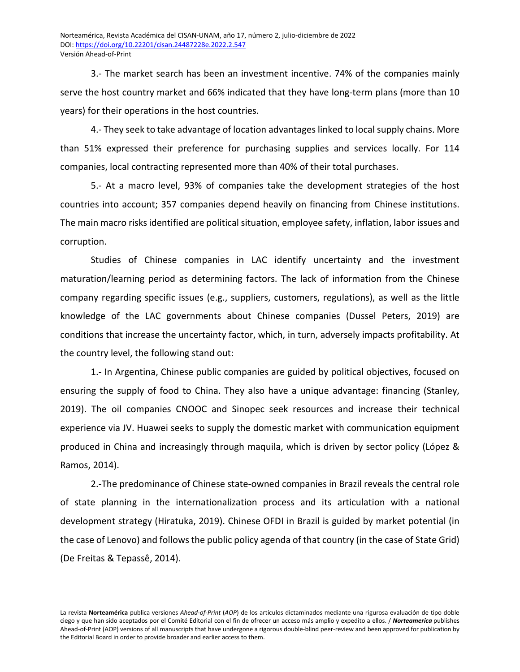3.- The market search has been an investment incentive. 74% of the companies mainly serve the host country market and 66% indicated that they have long-term plans (more than 10 years) for their operations in the host countries.

4.- They seek to take advantage of location advantages linked to local supply chains. More than 51% expressed their preference for purchasing supplies and services locally. For 114 companies, local contracting represented more than 40% of their total purchases.

5.- At a macro level, 93% of companies take the development strategies of the host countries into account; 357 companies depend heavily on financing from Chinese institutions. The main macro risks identified are political situation, employee safety, inflation, labor issues and corruption.

Studies of Chinese companies in LAC identify uncertainty and the investment maturation/learning period as determining factors. The lack of information from the Chinese company regarding specific issues (e.g., suppliers, customers, regulations), as well as the little knowledge of the LAC governments about Chinese companies (Dussel Peters, 2019) are conditions that increase the uncertainty factor, which, in turn, adversely impacts profitability. At the country level, the following stand out:

1.- In Argentina, Chinese public companies are guided by political objectives, focused on ensuring the supply of food to China. They also have a unique advantage: financing (Stanley, 2019). The oil companies CNOOC and Sinopec seek resources and increase their technical experience via JV. Huawei seeks to supply the domestic market with communication equipment produced in China and increasingly through maquila, which is driven by sector policy (López & Ramos, 2014).

2.-The predominance of Chinese state-owned companies in Brazil reveals the central role of state planning in the internationalization process and its articulation with a national development strategy (Hiratuka, 2019). Chinese OFDI in Brazil is guided by market potential (in the case of Lenovo) and follows the public policy agenda of that country (in the case of State Grid) (De Freitas & Tepassê, 2014).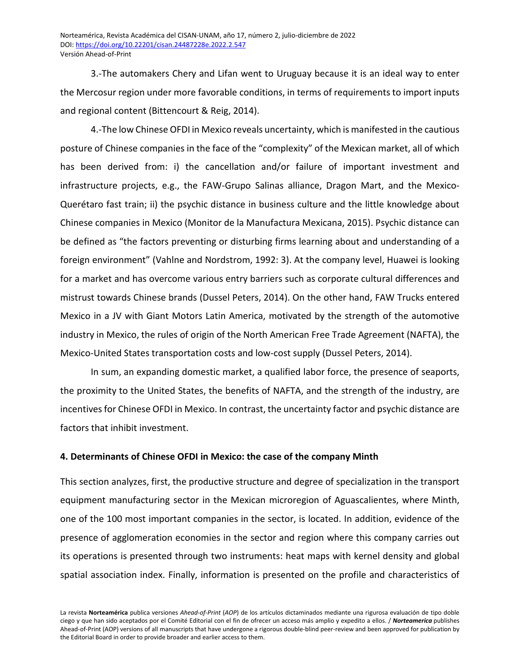3.-The automakers Chery and Lifan went to Uruguay because it is an ideal way to enter the Mercosur region under more favorable conditions, in terms of requirements to import inputs and regional content (Bittencourt & Reig, 2014).

4.-The low Chinese OFDI in Mexico reveals uncertainty, which is manifested in the cautious posture of Chinese companies in the face of the "complexity" of the Mexican market, all of which has been derived from: i) the cancellation and/or failure of important investment and infrastructure projects, e.g., the FAW-Grupo Salinas alliance, Dragon Mart, and the Mexico-Querétaro fast train; ii) the psychic distance in business culture and the little knowledge about Chinese companies in Mexico (Monitor de la Manufactura Mexicana, 2015). Psychic distance can be defined as "the factors preventing or disturbing firms learning about and understanding of a foreign environment" (Vahlne and Nordstrom, 1992: 3). At the company level, Huawei is looking for a market and has overcome various entry barriers such as corporate cultural differences and mistrust towards Chinese brands (Dussel Peters, 2014). On the other hand, FAW Trucks entered Mexico in a JV with Giant Motors Latin America, motivated by the strength of the automotive industry in Mexico, the rules of origin of the North American Free Trade Agreement (NAFTA), the Mexico-United States transportation costs and low-cost supply (Dussel Peters, 2014).

In sum, an expanding domestic market, a qualified labor force, the presence of seaports, the proximity to the United States, the benefits of NAFTA, and the strength of the industry, are incentives for Chinese OFDI in Mexico. In contrast, the uncertainty factor and psychic distance are factors that inhibit investment.

## **4. Determinants of Chinese OFDI in Mexico: the case of the company Minth**

This section analyzes, first, the productive structure and degree of specialization in the transport equipment manufacturing sector in the Mexican microregion of Aguascalientes, where Minth, one of the 100 most important companies in the sector, is located. In addition, evidence of the presence of agglomeration economies in the sector and region where this company carries out its operations is presented through two instruments: heat maps with kernel density and global spatial association index. Finally, information is presented on the profile and characteristics of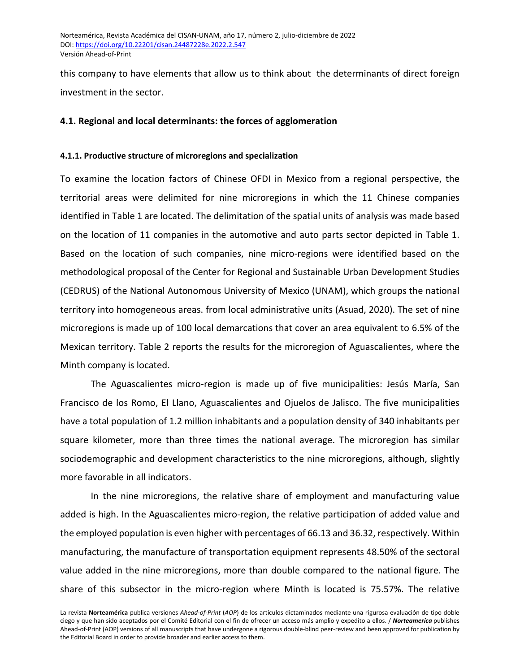this company to have elements that allow us to think about the determinants of direct foreign investment in the sector.

## **4.1. Regional and local determinants: the forces of agglomeration**

## **4.1.1. Productive structure of microregions and specialization**

To examine the location factors of Chinese OFDI in Mexico from a regional perspective, the territorial areas were delimited for nine microregions in which the 11 Chinese companies identified in Table 1 are located. The delimitation of the spatial units of analysis was made based on the location of 11 companies in the automotive and auto parts sector depicted in Table 1. Based on the location of such companies, nine micro-regions were identified based on the methodological proposal of the Center for Regional and Sustainable Urban Development Studies (CEDRUS) of the National Autonomous University of Mexico (UNAM), which groups the national territory into homogeneous areas. from local administrative units (Asuad, 2020). The set of nine microregions is made up of 100 local demarcations that cover an area equivalent to 6.5% of the Mexican territory. Table 2 reports the results for the microregion of Aguascalientes, where the Minth company is located.

The Aguascalientes micro-region is made up of five municipalities: Jesús María, San Francisco de los Romo, El Llano, Aguascalientes and Ojuelos de Jalisco. The five municipalities have a total population of 1.2 million inhabitants and a population density of 340 inhabitants per square kilometer, more than three times the national average. The microregion has similar sociodemographic and development characteristics to the nine microregions, although, slightly more favorable in all indicators.

In the nine microregions, the relative share of employment and manufacturing value added is high. In the Aguascalientes micro-region, the relative participation of added value and the employed population is even higher with percentages of 66.13 and 36.32, respectively. Within manufacturing, the manufacture of transportation equipment represents 48.50% of the sectoral value added in the nine microregions, more than double compared to the national figure. The share of this subsector in the micro-region where Minth is located is 75.57%. The relative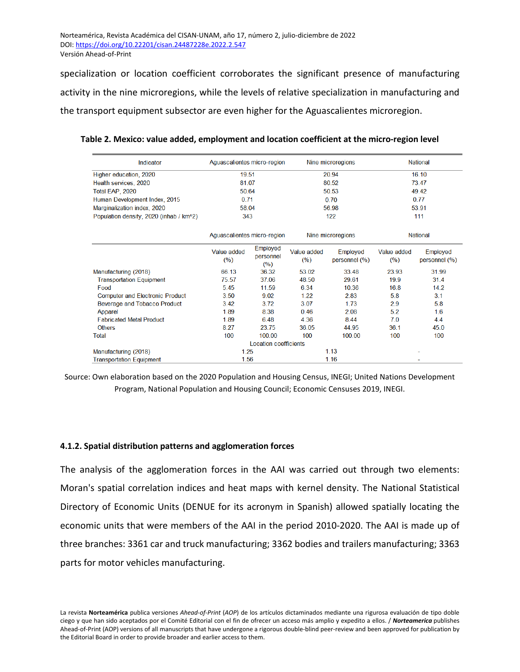specialization or location coefficient corroborates the significant presence of manufacturing activity in the nine microregions, while the levels of relative specialization in manufacturing and the transport equipment subsector are even higher for the Aguascalientes microregion.

| Indicator                               | Aquascalientes micro-region |                              |                    | Nine microregions         | <b>National</b>    |                           |  |
|-----------------------------------------|-----------------------------|------------------------------|--------------------|---------------------------|--------------------|---------------------------|--|
| Higher education, 2020                  | 19.51                       |                              |                    | 20.94                     | 16.10              |                           |  |
| Health services, 2020                   | 81.07                       |                              |                    | 80.52                     | 73.47              |                           |  |
| Total EAP, 2020                         | 50.64                       |                              |                    | 50.53                     | 49.42              |                           |  |
| Human Development Index, 2015           | 0 71                        |                              |                    | 0.70                      | 0.77               |                           |  |
| Marginalization index, 2020             | 58.04                       |                              |                    | 56.98                     | 53.91              |                           |  |
| Population density, 2020 (inhab / km^2) | 343                         |                              | 122                |                           | 111                |                           |  |
|                                         | Aquascalientes micro-region |                              |                    | Nine microregions         | <b>National</b>    |                           |  |
|                                         | Value added<br>(%)          | Employed<br>personnel<br>(%) | Value added<br>(%) | Employed<br>personnel (%) | Value added<br>(%) | Employed<br>personnel (%) |  |
| Manufacturing (2018)                    | 66.13                       | 36.32                        | 53.02              | 33.48                     | 23.93              | 31.99                     |  |
| <b>Transportation Equipment</b>         | 75.57                       | 37.06                        | 48.50              | 29.61                     | 19.9               | 31.4                      |  |
| Food                                    | 5.45                        | 11.59<br>9.02                | 6.34               | 10.36                     | 16.8<br>5.8        | 14.2<br>3.1               |  |
| <b>Computer and Electronic Product</b>  | 3.50                        |                              | 1.22               | 2.83                      |                    |                           |  |
| Beverage and Tobacco Product            | 3.42                        | 3.72                         | 3.07               | 1.73                      | 2.9                | 5.8                       |  |
| Apparel                                 | 1.89                        | 8.38                         | 0.46               | 2.08                      | 5.2                | 1.6                       |  |
| <b>Fabricated Metal Product</b>         | 1.89                        | 6.48                         | 4.36               | 8.44                      | 7.0                | 4.4                       |  |
| <b>Others</b>                           | 8.27                        | 23.75                        | 36.05              | 44.95                     | 36.1               | 45.0                      |  |
| <b>Total</b>                            | 100                         | 100.00                       | 100                | 100.00                    | 100                | 100                       |  |
|                                         |                             | Location coefficients        |                    |                           |                    |                           |  |
| Manufacturing (2018)                    | 1.25                        |                              |                    | 1.13                      |                    |                           |  |
| <b>Transportation Equipment</b>         | 1.56                        |                              |                    | 1.16                      |                    |                           |  |

**Table 2. Mexico: value added, employment and location coefficient at the micro-region level**

Source: Own elaboration based on the 2020 Population and Housing Census, INEGI; United Nations Development Program, National Population and Housing Council; Economic Censuses 2019, INEGI.

#### **4.1.2. Spatial distribution patterns and agglomeration forces**

The analysis of the agglomeration forces in the AAI was carried out through two elements: Moran's spatial correlation indices and heat maps with kernel density. The National Statistical Directory of Economic Units (DENUE for its acronym in Spanish) allowed spatially locating the economic units that were members of the AAI in the period 2010-2020. The AAI is made up of three branches: 3361 car and truck manufacturing; 3362 bodies and trailers manufacturing; 3363 parts for motor vehicles manufacturing.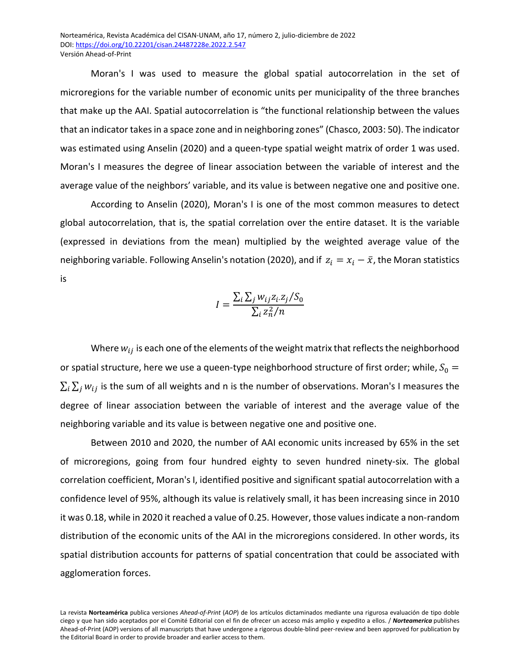Moran's I was used to measure the global spatial autocorrelation in the set of microregions for the variable number of economic units per municipality of the three branches that make up the AAI. Spatial autocorrelation is "the functional relationship between the values that an indicator takes in a space zone and in neighboring zones" (Chasco, 2003: 50). The indicator was estimated using Anselin (2020) and a queen-type spatial weight matrix of order 1 was used. Moran's I measures the degree of linear association between the variable of interest and the average value of the neighbors' variable, and its value is between negative one and positive one.

According to Anselin (2020), Moran's I is one of the most common measures to detect global autocorrelation, that is, the spatial correlation over the entire dataset. It is the variable (expressed in deviations from the mean) multiplied by the weighted average value of the neighboring variable. Following Anselin's notation (2020), and if  $z_i = x_i - \bar{x}$ , the Moran statistics is

$$
I = \frac{\sum_{i} \sum_{j} w_{ij} z_{i} z_{j} / S_{0}}{\sum_{i} z_{n}^{2} / n}
$$

Where  $w_{ij}$  is each one of the elements of the weight matrix that reflects the neighborhood or spatial structure, here we use a queen-type neighborhood structure of first order; while,  $S_0 =$  $\sum_i \sum_j w_{ij}$  is the sum of all weights and n is the number of observations. Moran's I measures the degree of linear association between the variable of interest and the average value of the neighboring variable and its value is between negative one and positive one.

Between 2010 and 2020, the number of AAI economic units increased by 65% in the set of microregions, going from four hundred eighty to seven hundred ninety-six. The global correlation coefficient, Moran's I, identified positive and significant spatial autocorrelation with a confidence level of 95%, although its value is relatively small, it has been increasing since in 2010 it was 0.18, while in 2020 it reached a value of 0.25. However, those values indicate a non-random distribution of the economic units of the AAI in the microregions considered. In other words, its spatial distribution accounts for patterns of spatial concentration that could be associated with agglomeration forces.

La revista **Norteamérica** publica versiones *Ahead-of-Print* (*AOP*) de los artículos dictaminados mediante una rigurosa evaluación de tipo doble ciego y que han sido aceptados por el Comité Editorial con el fin de ofrecer un acceso más amplio y expedito a ellos. / *Norteamerica* publishes Ahead-of-Print (AOP) versions of all manuscripts that have undergone a rigorous double-blind peer-review and been approved for publication by the Editorial Board in order to provide broader and earlier access to them.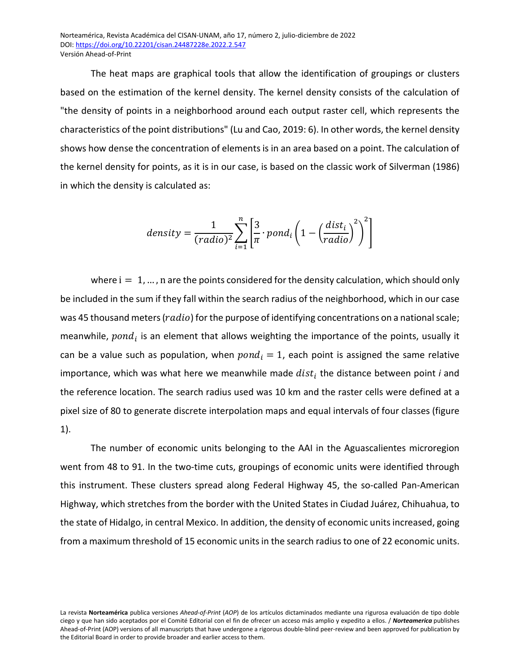The heat maps are graphical tools that allow the identification of groupings or clusters based on the estimation of the kernel density. The kernel density consists of the calculation of "the density of points in a neighborhood around each output raster cell, which represents the characteristics of the point distributions" (Lu and Cao, 2019: 6). In other words, the kernel density shows how dense the concentration of elements is in an area based on a point. The calculation of the kernel density for points, as it is in our case, is based on the classic work of Silverman (1986) in which the density is calculated as:

$$
density = \frac{1}{(radio)^2} \sum_{i=1}^{n} \left[ \frac{3}{\pi} \cdot pond_i \left( 1 - \left( \frac{dist_i}{radio} \right)^2 \right)^2 \right]
$$

where  $i = 1, ..., n$  are the points considered for the density calculation, which should only be included in the sum if they fall within the search radius of the neighborhood, which in our case was 45 thousand meters ( $radio$ ) for the purpose of identifying concentrations on a national scale; meanwhile,  $pond_i$  is an element that allows weighting the importance of the points, usually it can be a value such as population, when  $pond_i = 1$ , each point is assigned the same relative importance, which was what here we meanwhile made  $dist_i$  the distance between point  $i$  and the reference location. The search radius used was 10 km and the raster cells were defined at a pixel size of 80 to generate discrete interpolation maps and equal intervals of four classes (figure 1).

The number of economic units belonging to the AAI in the Aguascalientes microregion went from 48 to 91. In the two-time cuts, groupings of economic units were identified through this instrument. These clusters spread along Federal Highway 45, the so-called Pan-American Highway, which stretches from the border with the United States in Ciudad Juárez, Chihuahua, to the state of Hidalgo, in central Mexico. In addition, the density of economic units increased, going from a maximum threshold of 15 economic units in the search radius to one of 22 economic units.

La revista **Norteamérica** publica versiones *Ahead-of-Print* (*AOP*) de los artículos dictaminados mediante una rigurosa evaluación de tipo doble ciego y que han sido aceptados por el Comité Editorial con el fin de ofrecer un acceso más amplio y expedito a ellos. / *Norteamerica* publishes Ahead-of-Print (AOP) versions of all manuscripts that have undergone a rigorous double-blind peer-review and been approved for publication by the Editorial Board in order to provide broader and earlier access to them.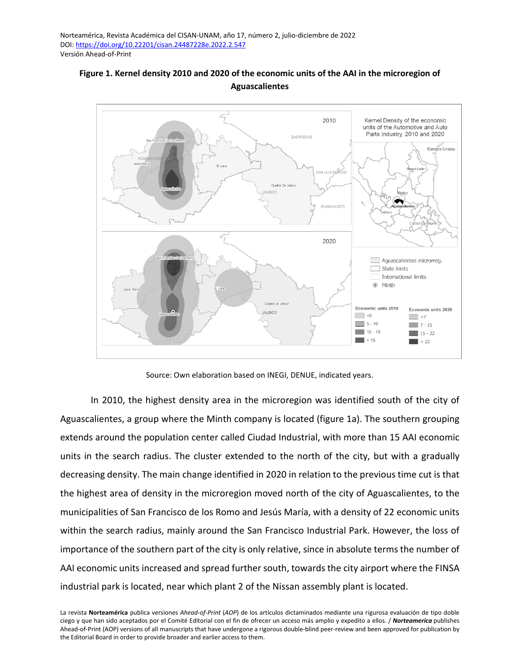

**Figure 1. Kernel density 2010 and 2020 of the economic units of the AAI in the microregion of Aguascalientes**

Source: Own elaboration based on INEGI, DENUE, indicated years.

In 2010, the highest density area in the microregion was identified south of the city of Aguascalientes, a group where the Minth company is located (figure 1a). The southern grouping extends around the population center called Ciudad Industrial, with more than 15 AAI economic units in the search radius. The cluster extended to the north of the city, but with a gradually decreasing density. The main change identified in 2020 in relation to the previous time cut is that the highest area of density in the microregion moved north of the city of Aguascalientes, to the municipalities of San Francisco de los Romo and Jesús María, with a density of 22 economic units within the search radius, mainly around the San Francisco Industrial Park. However, the loss of importance of the southern part of the city is only relative, since in absolute terms the number of AAI economic units increased and spread further south, towards the city airport where the FINSA industrial park is located, near which plant 2 of the Nissan assembly plant is located.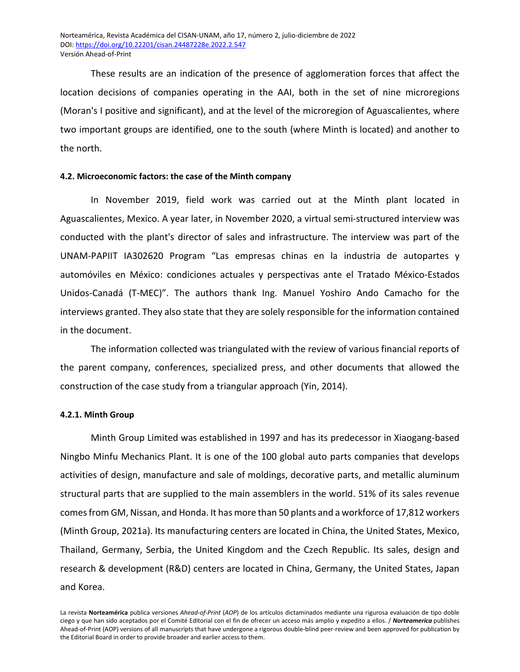These results are an indication of the presence of agglomeration forces that affect the location decisions of companies operating in the AAI, both in the set of nine microregions (Moran's I positive and significant), and at the level of the microregion of Aguascalientes, where two important groups are identified, one to the south (where Minth is located) and another to the north.

### **4.2. Microeconomic factors: the case of the Minth company**

In November 2019, field work was carried out at the Minth plant located in Aguascalientes, Mexico. A year later, in November 2020, a virtual semi-structured interview was conducted with the plant's director of sales and infrastructure. The interview was part of the UNAM-PAPIIT IA302620 Program "Las empresas chinas en la industria de autopartes y automóviles en México: condiciones actuales y perspectivas ante el Tratado México-Estados Unidos-Canadá (T-MEC)". The authors thank Ing. Manuel Yoshiro Ando Camacho for the interviews granted. They also state that they are solely responsible for the information contained in the document.

The information collected was triangulated with the review of various financial reports of the parent company, conferences, specialized press, and other documents that allowed the construction of the case study from a triangular approach (Yin, 2014).

#### **4.2.1. Minth Group**

Minth Group Limited was established in 1997 and has its predecessor in Xiaogang-based Ningbo Minfu Mechanics Plant. It is one of the 100 global auto parts companies that develops activities of design, manufacture and sale of moldings, decorative parts, and metallic aluminum structural parts that are supplied to the main assemblers in the world. 51% of its sales revenue comes from GM, Nissan, and Honda. It has more than 50 plants and a workforce of 17,812 workers (Minth Group, 2021a). Its manufacturing centers are located in China, the United States, Mexico, Thailand, Germany, Serbia, the United Kingdom and the Czech Republic. Its sales, design and research & development (R&D) centers are located in China, Germany, the United States, Japan and Korea.

La revista **Norteamérica** publica versiones *Ahead-of-Print* (*AOP*) de los artículos dictaminados mediante una rigurosa evaluación de tipo doble ciego y que han sido aceptados por el Comité Editorial con el fin de ofrecer un acceso más amplio y expedito a ellos. / *Norteamerica* publishes Ahead-of-Print (AOP) versions of all manuscripts that have undergone a rigorous double-blind peer-review and been approved for publication by the Editorial Board in order to provide broader and earlier access to them.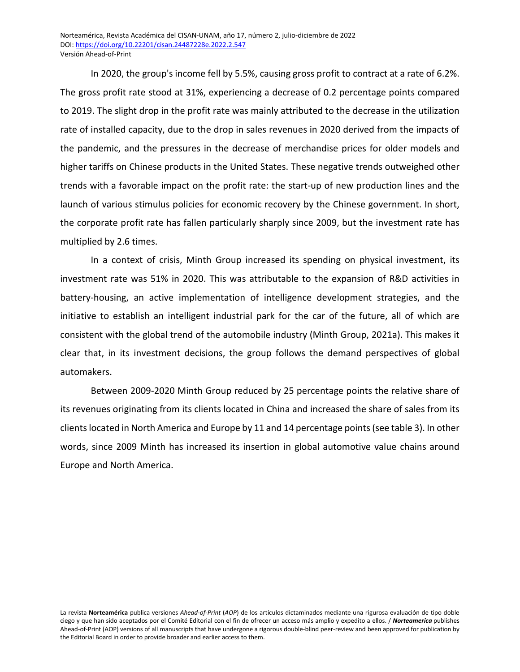In 2020, the group's income fell by 5.5%, causing gross profit to contract at a rate of 6.2%. The gross profit rate stood at 31%, experiencing a decrease of 0.2 percentage points compared to 2019. The slight drop in the profit rate was mainly attributed to the decrease in the utilization rate of installed capacity, due to the drop in sales revenues in 2020 derived from the impacts of the pandemic, and the pressures in the decrease of merchandise prices for older models and higher tariffs on Chinese products in the United States. These negative trends outweighed other trends with a favorable impact on the profit rate: the start-up of new production lines and the launch of various stimulus policies for economic recovery by the Chinese government. In short, the corporate profit rate has fallen particularly sharply since 2009, but the investment rate has multiplied by 2.6 times.

In a context of crisis, Minth Group increased its spending on physical investment, its investment rate was 51% in 2020. This was attributable to the expansion of R&D activities in battery-housing, an active implementation of intelligence development strategies, and the initiative to establish an intelligent industrial park for the car of the future, all of which are consistent with the global trend of the automobile industry (Minth Group, 2021a). This makes it clear that, in its investment decisions, the group follows the demand perspectives of global automakers.

Between 2009-2020 Minth Group reduced by 25 percentage points the relative share of its revenues originating from its clients located in China and increased the share of sales from its clients located in North America and Europe by 11 and 14 percentage points (see table 3). In other words, since 2009 Minth has increased its insertion in global automotive value chains around Europe and North America.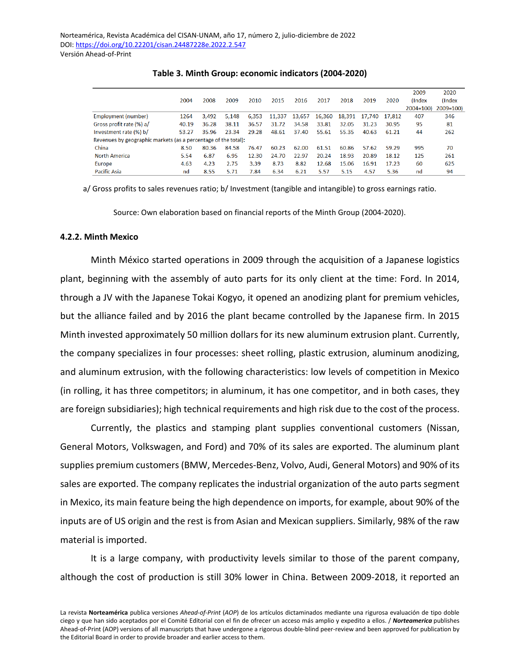|                                                                |       |       |       |       |        |        |        |        |        |        | 2009         | 2020         |
|----------------------------------------------------------------|-------|-------|-------|-------|--------|--------|--------|--------|--------|--------|--------------|--------------|
|                                                                | 2004  | 2008  | 2009  | 2010  | 2015   | 2016   | 2017   | 2018   | 2019   | 2020   | (Index       | (Index       |
|                                                                |       |       |       |       |        |        |        |        |        |        | $2004 = 100$ | $2009 = 100$ |
| Employment (number)                                            | 1264  | 3.492 | 5.148 | 6.353 | 11,337 | 13,657 | 16,360 | 18.391 | 17.740 | 17.812 | 407          | 346          |
| Gross profit rate (%) a/                                       | 40.19 | 36.28 | 38.11 | 36.57 | 31.72  | 34.58  | 33.81  | 32.05  | 31.23  | 30.95  | 95           | 81           |
| Investment rate (%) b/                                         | 53.27 | 35.96 | 23.34 | 29.28 | 48.61  | 37.40  | 55.61  | 55.35  | 40.63  | 61.21  | 44           | 262          |
| Revenues by geographic markets (as a percentage of the total): |       |       |       |       |        |        |        |        |        |        |              |              |
| China                                                          | 8.50  | 80.36 | 84.58 | 76.47 | 60.23  | 62.00  | 61.51  | 60.86  | 57.62  | 59.29  | 995          | 70           |
| <b>North America</b>                                           | 5.54  | 6.87  | 6.95  | 12.30 | 24.70  | 22.97  | 20.24  | 18.93  | 20.89  | 18.12  | 125          | 261          |
| Europe                                                         | 4.63  | 4.23  | 2.75  | 3.39  | 8.73   | 8.82   | 12.68  | 15.06  | 16.91  | 17.23  | 60           | 625          |
| <b>Pacific Asia</b>                                            | nd    | 8.55  | 5.71  | 7.84  | 6.34   | 6.21   | 5.57   | 5.15   | 4.57   | 5.36   | nd           | 94           |

**Table 3. Minth Group: economic indicators (2004-2020)**

a/ Gross profits to sales revenues ratio; b/ Investment (tangible and intangible) to gross earnings ratio.

Source: Own elaboration based on financial reports of the Minth Group (2004-2020).

#### **4.2.2. Minth Mexico**

Minth México started operations in 2009 through the acquisition of a Japanese logistics plant, beginning with the assembly of auto parts for its only client at the time: Ford. In 2014, through a JV with the Japanese Tokai Kogyo, it opened an anodizing plant for premium vehicles, but the alliance failed and by 2016 the plant became controlled by the Japanese firm. In 2015 Minth invested approximately 50 million dollars for its new aluminum extrusion plant. Currently, the company specializes in four processes: sheet rolling, plastic extrusion, aluminum anodizing, and aluminum extrusion, with the following characteristics: low levels of competition in Mexico (in rolling, it has three competitors; in aluminum, it has one competitor, and in both cases, they are foreign subsidiaries); high technical requirements and high risk due to the cost of the process.

Currently, the plastics and stamping plant supplies conventional customers (Nissan, General Motors, Volkswagen, and Ford) and 70% of its sales are exported. The aluminum plant supplies premium customers (BMW, Mercedes-Benz, Volvo, Audi, General Motors) and 90% of its sales are exported. The company replicates the industrial organization of the auto parts segment in Mexico, its main feature being the high dependence on imports, for example, about 90% of the inputs are of US origin and the rest is from Asian and Mexican suppliers. Similarly, 98% of the raw material is imported.

It is a large company, with productivity levels similar to those of the parent company, although the cost of production is still 30% lower in China. Between 2009-2018, it reported an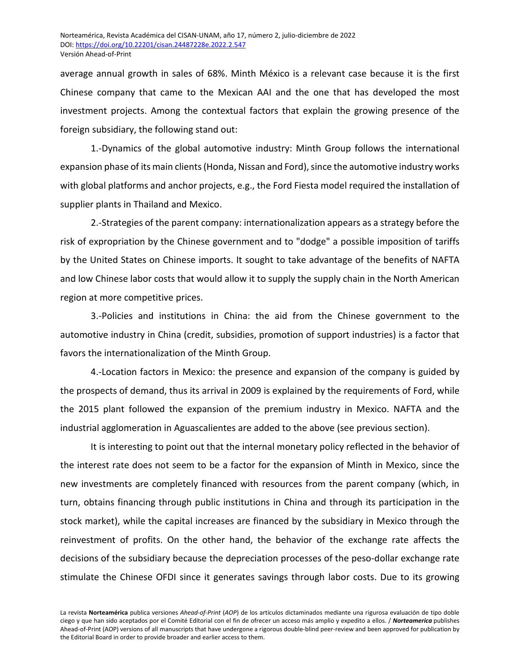average annual growth in sales of 68%. Minth México is a relevant case because it is the first Chinese company that came to the Mexican AAI and the one that has developed the most investment projects. Among the contextual factors that explain the growing presence of the foreign subsidiary, the following stand out:

1.-Dynamics of the global automotive industry: Minth Group follows the international expansion phase of its main clients (Honda, Nissan and Ford), since the automotive industry works with global platforms and anchor projects, e.g., the Ford Fiesta model required the installation of supplier plants in Thailand and Mexico.

2.-Strategies of the parent company: internationalization appears as a strategy before the risk of expropriation by the Chinese government and to "dodge" a possible imposition of tariffs by the United States on Chinese imports. It sought to take advantage of the benefits of NAFTA and low Chinese labor costs that would allow it to supply the supply chain in the North American region at more competitive prices.

3.-Policies and institutions in China: the aid from the Chinese government to the automotive industry in China (credit, subsidies, promotion of support industries) is a factor that favors the internationalization of the Minth Group.

4.-Location factors in Mexico: the presence and expansion of the company is guided by the prospects of demand, thus its arrival in 2009 is explained by the requirements of Ford, while the 2015 plant followed the expansion of the premium industry in Mexico. NAFTA and the industrial agglomeration in Aguascalientes are added to the above (see previous section).

It is interesting to point out that the internal monetary policy reflected in the behavior of the interest rate does not seem to be a factor for the expansion of Minth in Mexico, since the new investments are completely financed with resources from the parent company (which, in turn, obtains financing through public institutions in China and through its participation in the stock market), while the capital increases are financed by the subsidiary in Mexico through the reinvestment of profits. On the other hand, the behavior of the exchange rate affects the decisions of the subsidiary because the depreciation processes of the peso-dollar exchange rate stimulate the Chinese OFDI since it generates savings through labor costs. Due to its growing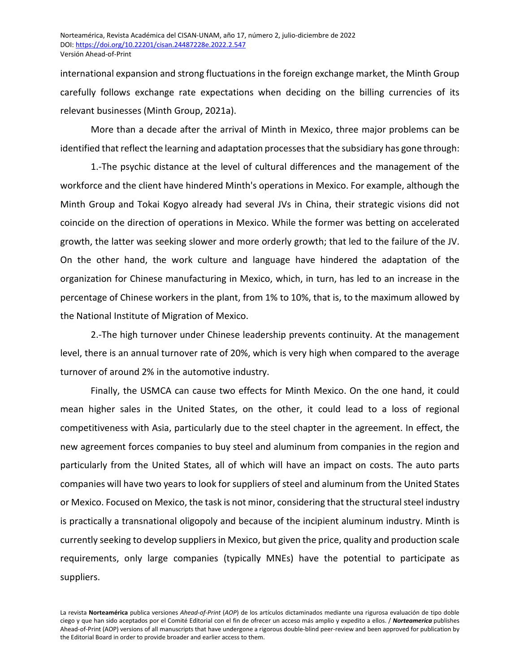international expansion and strong fluctuations in the foreign exchange market, the Minth Group carefully follows exchange rate expectations when deciding on the billing currencies of its relevant businesses (Minth Group, 2021a).

More than a decade after the arrival of Minth in Mexico, three major problems can be identified that reflect the learning and adaptation processes that the subsidiary has gone through:

1.-The psychic distance at the level of cultural differences and the management of the workforce and the client have hindered Minth's operations in Mexico. For example, although the Minth Group and Tokai Kogyo already had several JVs in China, their strategic visions did not coincide on the direction of operations in Mexico. While the former was betting on accelerated growth, the latter was seeking slower and more orderly growth; that led to the failure of the JV. On the other hand, the work culture and language have hindered the adaptation of the organization for Chinese manufacturing in Mexico, which, in turn, has led to an increase in the percentage of Chinese workers in the plant, from 1% to 10%, that is, to the maximum allowed by the National Institute of Migration of Mexico.

2.-The high turnover under Chinese leadership prevents continuity. At the management level, there is an annual turnover rate of 20%, which is very high when compared to the average turnover of around 2% in the automotive industry.

Finally, the USMCA can cause two effects for Minth Mexico. On the one hand, it could mean higher sales in the United States, on the other, it could lead to a loss of regional competitiveness with Asia, particularly due to the steel chapter in the agreement. In effect, the new agreement forces companies to buy steel and aluminum from companies in the region and particularly from the United States, all of which will have an impact on costs. The auto parts companies will have two years to look for suppliers of steel and aluminum from the United States or Mexico. Focused on Mexico, the task is not minor, considering that the structural steel industry is practically a transnational oligopoly and because of the incipient aluminum industry. Minth is currently seeking to develop suppliers in Mexico, but given the price, quality and production scale requirements, only large companies (typically MNEs) have the potential to participate as suppliers.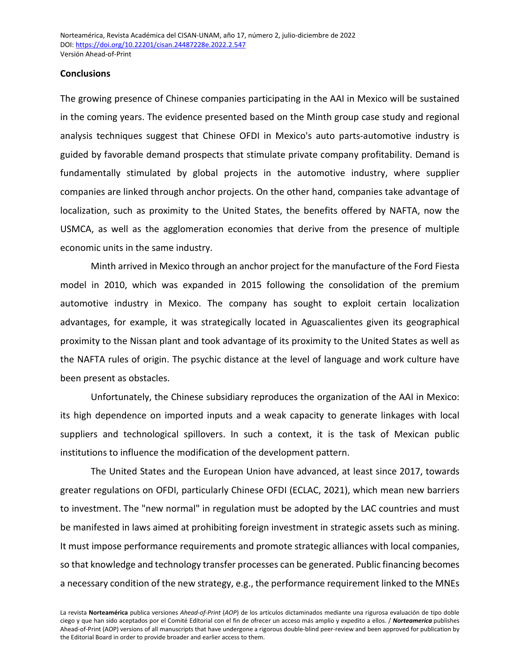#### **Conclusions**

The growing presence of Chinese companies participating in the AAI in Mexico will be sustained in the coming years. The evidence presented based on the Minth group case study and regional analysis techniques suggest that Chinese OFDI in Mexico's auto parts-automotive industry is guided by favorable demand prospects that stimulate private company profitability. Demand is fundamentally stimulated by global projects in the automotive industry, where supplier companies are linked through anchor projects. On the other hand, companies take advantage of localization, such as proximity to the United States, the benefits offered by NAFTA, now the USMCA, as well as the agglomeration economies that derive from the presence of multiple economic units in the same industry.

Minth arrived in Mexico through an anchor project for the manufacture of the Ford Fiesta model in 2010, which was expanded in 2015 following the consolidation of the premium automotive industry in Mexico. The company has sought to exploit certain localization advantages, for example, it was strategically located in Aguascalientes given its geographical proximity to the Nissan plant and took advantage of its proximity to the United States as well as the NAFTA rules of origin. The psychic distance at the level of language and work culture have been present as obstacles.

Unfortunately, the Chinese subsidiary reproduces the organization of the AAI in Mexico: its high dependence on imported inputs and a weak capacity to generate linkages with local suppliers and technological spillovers. In such a context, it is the task of Mexican public institutions to influence the modification of the development pattern.

The United States and the European Union have advanced, at least since 2017, towards greater regulations on OFDI, particularly Chinese OFDI (ECLAC, 2021), which mean new barriers to investment. The "new normal" in regulation must be adopted by the LAC countries and must be manifested in laws aimed at prohibiting foreign investment in strategic assets such as mining. It must impose performance requirements and promote strategic alliances with local companies, so that knowledge and technology transfer processes can be generated. Public financing becomes a necessary condition of the new strategy, e.g., the performance requirement linked to the MNEs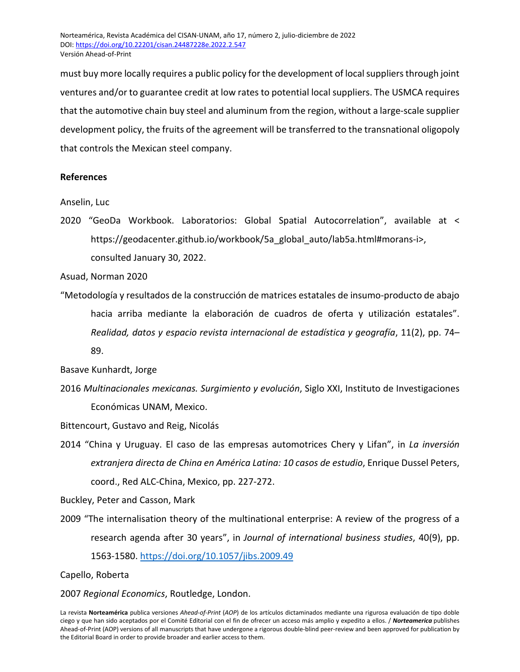must buy more locally requires a public policy for the development of local suppliers through joint ventures and/or to guarantee credit at low rates to potential local suppliers. The USMCA requires that the automotive chain buy steel and aluminum from the region, without a large-scale supplier development policy, the fruits of the agreement will be transferred to the transnational oligopoly that controls the Mexican steel company.

# **References**

Anselin, Luc

2020 "GeoDa Workbook. Laboratorios: Global Spatial Autocorrelation", available at < https://geodacenter.github.io/workbook/5a\_global\_auto/lab5a.html#morans-i>, consulted January 30, 2022.

Asuad, Norman 2020

"Metodología y resultados de la construcción de matrices estatales de insumo-producto de abajo hacia arriba mediante la elaboración de cuadros de oferta y utilización estatales". *Realidad, datos y espacio revista internacional de estadística y geografía*, 11(2), pp. 74– 89.

Basave Kunhardt, Jorge

2016 *Multinacionales mexicanas. Surgimiento y evolución*, Siglo XXI, Instituto de Investigaciones Económicas UNAM, Mexico.

Bittencourt, Gustavo and Reig, Nicolás

2014 "China y Uruguay. El caso de las empresas automotrices Chery y Lifan", in *La inversión extranjera directa de China en América Latina: 10 casos de estudio*, Enrique Dussel Peters, coord., Red ALC-China, Mexico, pp. 227-272.

Buckley, Peter and Casson, Mark

2009 "The internalisation theory of the multinational enterprise: A review of the progress of a research agenda after 30 years", in *Journal of international business studies*, 40(9), pp. 1563-1580.<https://doi.org/10.1057/jibs.2009.49>

Capello, Roberta

## 2007 *Regional Economics*, Routledge, London.

La revista **Norteamérica** publica versiones *Ahead-of-Print* (*AOP*) de los artículos dictaminados mediante una rigurosa evaluación de tipo doble ciego y que han sido aceptados por el Comité Editorial con el fin de ofrecer un acceso más amplio y expedito a ellos. / *Norteamerica* publishes Ahead-of-Print (AOP) versions of all manuscripts that have undergone a rigorous double-blind peer-review and been approved for publication by the Editorial Board in order to provide broader and earlier access to them.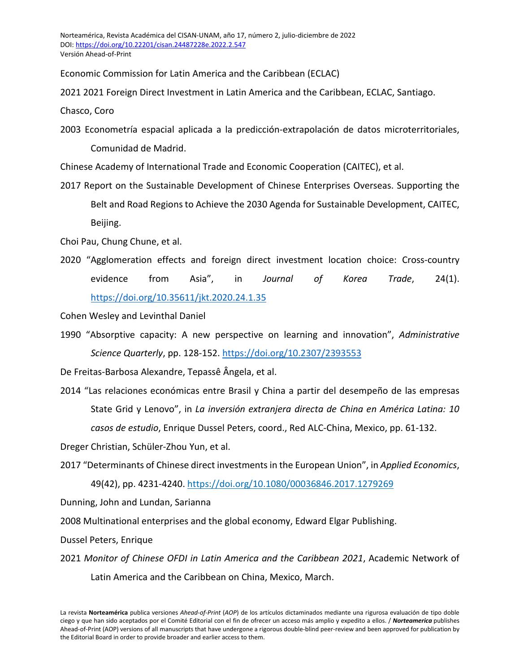Economic Commission for Latin America and the Caribbean (ECLAC)

2021 2021 Foreign Direct Investment in Latin America and the Caribbean, ECLAC, Santiago.

Chasco, Coro

2003 Econometría espacial aplicada a la predicción-extrapolación de datos microterritoriales, Comunidad de Madrid.

Chinese Academy of International Trade and Economic Cooperation (CAITEC), et al.

2017 Report on the Sustainable Development of Chinese Enterprises Overseas. Supporting the Belt and Road Regions to Achieve the 2030 Agenda for Sustainable Development, CAITEC, Beijing.

Choi Pau, Chung Chune, et al.

2020 "Agglomeration effects and foreign direct investment location choice: Cross-country evidence from Asia", in *Journal of Korea Trade*, 24(1). <https://doi.org/10.35611/jkt.2020.24.1.35>

Cohen Wesley and Levinthal Daniel

1990 "Absorptive capacity: A new perspective on learning and innovation", *Administrative Science Quarterly*, pp. 128-152.<https://doi.org/10.2307/2393553>

De Freitas-Barbosa Alexandre, Tepassê Ângela, et al.

2014 "Las relaciones económicas entre Brasil y China a partir del desempeño de las empresas State Grid y Lenovo", in *La inversión extranjera directa de China en América Latina: 10 casos de estudio*, Enrique Dussel Peters, coord., Red ALC-China, Mexico, pp. 61-132.

Dreger Christian, Schüler-Zhou Yun, et al.

2017 "Determinants of Chinese direct investments in the European Union", in *Applied Economics*, 49(42), pp. 4231-4240[. https://doi.org/10.1080/00036846.2017.1279269](https://doi.org/10.1080/00036846.2017.1279269)

Dunning, John and Lundan, Sarianna

2008 Multinational enterprises and the global economy, Edward Elgar Publishing.

Dussel Peters, Enrique

2021 *Monitor of Chinese OFDI in Latin America and the Caribbean 2021*, Academic Network of Latin America and the Caribbean on China, Mexico, March.

La revista **Norteamérica** publica versiones *Ahead-of-Print* (*AOP*) de los artículos dictaminados mediante una rigurosa evaluación de tipo doble ciego y que han sido aceptados por el Comité Editorial con el fin de ofrecer un acceso más amplio y expedito a ellos. / *Norteamerica* publishes Ahead-of-Print (AOP) versions of all manuscripts that have undergone a rigorous double-blind peer-review and been approved for publication by the Editorial Board in order to provide broader and earlier access to them.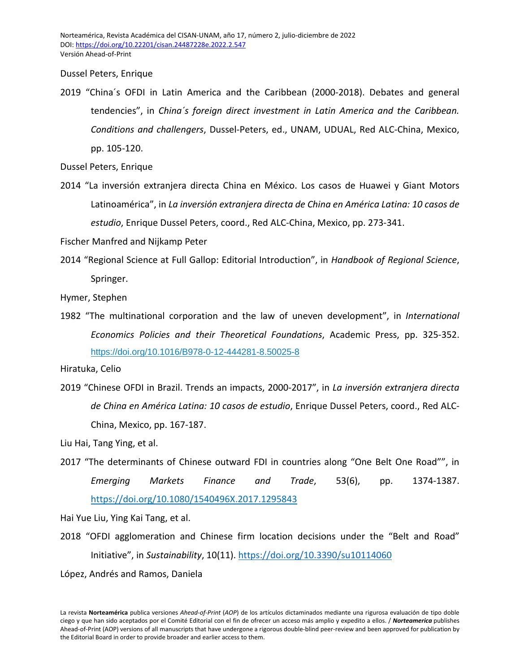Dussel Peters, Enrique

2019 "China´s OFDI in Latin America and the Caribbean (2000-2018). Debates and general tendencies", in *China´s foreign direct investment in Latin America and the Caribbean. Conditions and challengers*, Dussel-Peters, ed., UNAM, UDUAL, Red ALC-China, Mexico, pp. 105-120.

Dussel Peters, Enrique

2014 "La inversión extranjera directa China en México. Los casos de Huawei y Giant Motors Latinoamérica", in *La inversión extranjera directa de China en América Latina: 10 casos de estudio*, Enrique Dussel Peters, coord., Red ALC-China, Mexico, pp. 273-341.

Fischer Manfred and Nijkamp Peter

2014 "Regional Science at Full Gallop: Editorial Introduction", in *Handbook of Regional Science*, Springer.

Hymer, Stephen

1982 "The multinational corporation and the law of uneven development", in *International Economics Policies and their Theoretical Foundations*, Academic Press, pp. 325-352. <https://doi.org/10.1016/B978-0-12-444281-8.50025-8>

2019 "Chinese OFDI in Brazil. Trends an impacts, 2000-2017", in *La inversión extranjera directa de China en América Latina: 10 casos de estudio*, Enrique Dussel Peters, coord., Red ALC-China, Mexico, pp. 167-187.

Liu Hai, Tang Ying, et al.

2017 "The determinants of Chinese outward FDI in countries along "One Belt One Road"", in *Emerging Markets Finance and Trade*, 53(6), pp. 1374-1387. <https://doi.org/10.1080/1540496X.2017.1295843>

Hai Yue Liu, Ying Kai Tang, et al.

2018 "OFDI agglomeration and Chinese firm location decisions under the "Belt and Road" Initiative", in *Sustainability*, 10(11).<https://doi.org/10.3390/su10114060>

López, Andrés and Ramos, Daniela

Hiratuka, Celio

La revista **Norteamérica** publica versiones *Ahead-of-Print* (*AOP*) de los artículos dictaminados mediante una rigurosa evaluación de tipo doble ciego y que han sido aceptados por el Comité Editorial con el fin de ofrecer un acceso más amplio y expedito a ellos. / *Norteamerica* publishes Ahead-of-Print (AOP) versions of all manuscripts that have undergone a rigorous double-blind peer-review and been approved for publication by the Editorial Board in order to provide broader and earlier access to them.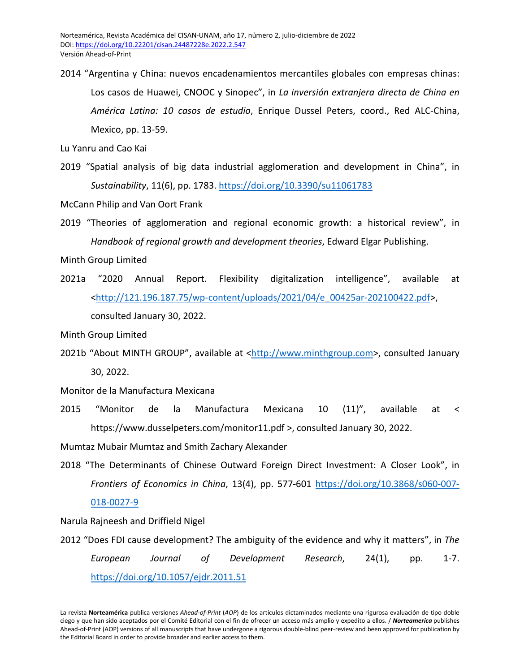2014 "Argentina y China: nuevos encadenamientos mercantiles globales con empresas chinas: Los casos de Huawei, CNOOC y Sinopec", in *La inversión extranjera directa de China en América Latina: 10 casos de estudio*, Enrique Dussel Peters, coord., Red ALC-China, Mexico, pp. 13-59.

Lu Yanru and Cao Kai

2019 "Spatial analysis of big data industrial agglomeration and development in China", in *Sustainability*, 11(6), pp. 1783[. https://doi.org/10.3390/su11061783](https://doi.org/10.3390/su11061783)

McCann Philip and Van Oort Frank

2019 "Theories of agglomeration and regional economic growth: a historical review", in *Handbook of regional growth and development theories*, Edward Elgar Publishing.

Minth Group Limited

2021a "2020 Annual Report. Flexibility digitalization intelligence", available at [<http://121.196.187.75/wp-content/uploads/2021/04/e\\_00425ar-202100422.pdf>](http://121.196.187.75/wp-content/uploads/2021/04/e_00425ar-202100422.pdf), consulted January 30, 2022.

Minth Group Limited

2021b "About MINTH GROUP", available at [<http://www.minthgroup.com>](http://www.minthgroup.com/), consulted January 30, 2022.

Monitor de la Manufactura Mexicana

2015 "Monitor de la Manufactura Mexicana 10 (11)", available at < https://www.dusselpeters.com/monitor11.pdf >, consulted January 30, 2022.

Mumtaz Mubair Mumtaz and Smith Zachary Alexander

2018 "The Determinants of Chinese Outward Foreign Direct Investment: A Closer Look", in *Frontiers of Economics in China*, 13(4), pp. 577-601 [https://doi.org/10.3868/s060-007-](https://doi.org/10.3868/s060-007-018-0027-9)

[018-0027-9](https://doi.org/10.3868/s060-007-018-0027-9)

Narula Rajneesh and Driffield Nigel

2012 "Does FDI cause development? The ambiguity of the evidence and why it matters", in *The European Journal of Development Research*, 24(1), pp. 1-7. <https://doi.org/10.1057/ejdr.2011.51>

La revista **Norteamérica** publica versiones *Ahead-of-Print* (*AOP*) de los artículos dictaminados mediante una rigurosa evaluación de tipo doble ciego y que han sido aceptados por el Comité Editorial con el fin de ofrecer un acceso más amplio y expedito a ellos. / *Norteamerica* publishes Ahead-of-Print (AOP) versions of all manuscripts that have undergone a rigorous double-blind peer-review and been approved for publication by the Editorial Board in order to provide broader and earlier access to them.